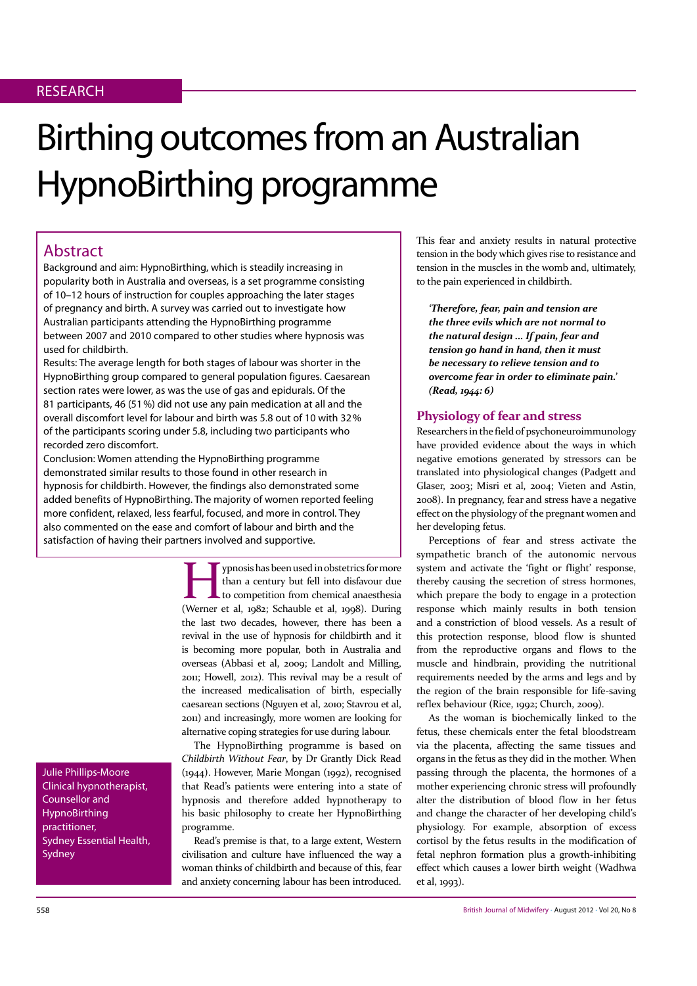# Birthing outcomes from an Australian HypnoBirthing programme

# Abstract

Background and aim: HypnoBirthing, which is steadily increasing in popularity both in Australia and overseas, is a set programme consisting of 10–12 hours of instruction for couples approaching the later stages of pregnancy and birth. A survey was carried out to investigate how Australian participants attending the HypnoBirthing programme between 2007 and 2010 compared to other studies where hypnosis was used for childbirth.

Results: The average length for both stages of labour was shorter in the HypnoBirthing group compared to general population figures. Caesarean section rates were lower, as was the use of gas and epidurals. Of the 81 participants, 46 (51%) did not use any pain medication at all and the overall discomfort level for labour and birth was 5.8 out of 10 with 32% of the participants scoring under 5.8, including two participants who recorded zero discomfort.

Conclusion: Women attending the HypnoBirthing programme demonstrated similar results to those found in other research in hypnosis for childbirth. However, the findings also demonstrated some added benefits of HypnoBirthing. The majority of women reported feeling more confident, relaxed, less fearful, focused, and more in control. They also commented on the ease and comfort of labour and birth and the satisfaction of having their partners involved and supportive.

> ypnosis has been used in obstetrics for more than a century but fell into disfavour due to competition from chemical anaesthesia (Werner et al, 1982; Schauble et al, 1998). During the last two decades, however, there has been a revival in the use of hypnosis for childbirth and it is becoming more popular, both in Australia and overseas (Abbasi et al, 2009; Landolt and Milling, 2011; Howell, 2012). This revival may be a result of the increased medicalisation of birth, especially caesarean sections (Nguyen et al, 2010; Stavrou et al, 2011) and increasingly, more women are looking for alternative coping strategies for use during labour.

> The HypnoBirthing programme is based on Childbirth Without Fear, by Dr Grantly Dick Read (1944). However, Marie Mongan (1992), recognised that Read's patients were entering into a state of hypnosis and therefore added hypnotherapy to his basic philosophy to create her HypnoBirthing programme.

> Read's premise is that, to a large extent, Western civilisation and culture have influenced the way a woman thinks of childbirth and because of this, fear and anxiety concerning labour has been introduced.

This fear and anxiety results in natural protective tension in the body which gives rise to resistance and tension in the muscles in the womb and, ultimately, to the pain experienced in childbirth.

*'Therefore, fear, pain and tension are* the three evils which are not normal to the natural design ... If pain, fear and tension go hand in hand, then it must be necessary to relieve tension and to *<u>overcome fear in order to eliminate pain.*</u> *(Read, 1944: 6)* 

## **Physiology of fear and stress**

Researchers in the field of psychoneuroimmunology have provided evidence about the ways in which negative emotions generated by stressors can be translated into physiological changes (Padgett and Glaser, 2003; Misri et al, 2004; Vieten and Astin, 2008). In pregnancy, fear and stress have a negative effect on the physiology of the pregnant women and her developing fetus.

Perceptions of fear and stress activate the sympathetic branch of the autonomic nervous system and activate the 'fight or flight' response, thereby causing the secretion of stress hormones, which prepare the body to engage in a protection response which mainly results in both tension and a constriction of blood vessels. As a result of this protection response, blood flow is shunted from the reproductive organs and flows to the muscle and hindbrain, providing the nutritional requirements needed by the arms and legs and by the region of the brain responsible for life-saving reflex behaviour (Rice, 1992; Church, 2009).

As the woman is biochemically linked to the fetus, these chemicals enter the fetal bloodstream via the placenta, affecting the same tissues and organs in the fetus as they did in the mother. When passing through the placenta, the hormones of a mother experiencing chronic stress will profoundly alter the distribution of blood flow in her fetus and change the character of her developing child's physiology. For example, absorption of excess cortisol by the fetus results in the modification of fetal nephron formation plus a growth-inhibiting effect which causes a lower birth weight (Wadhwa et al, 1993).

Julie Phillips-Moore Clinical hypnotherapist, Counsellor and HypnoBirthing practitioner, Sydney Essential Health, Sydney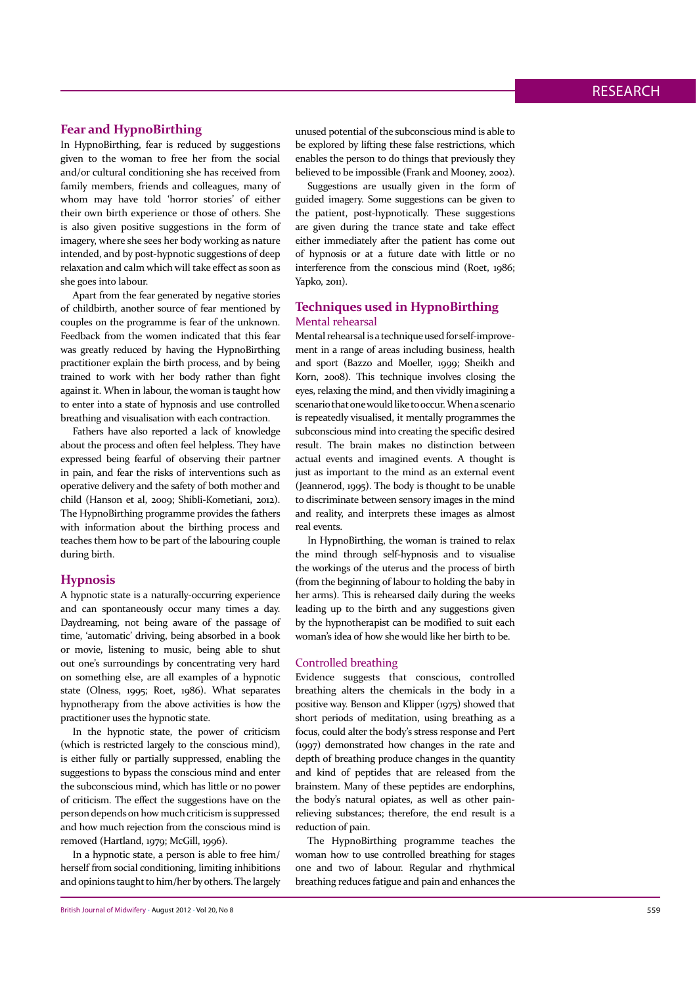## **Fear and HypnoBirthing**

In HypnoBirthing, fear is reduced by suggestions given to the woman to free her from the social and/or cultural conditioning she has received from family members, friends and colleagues, many of whom may have told 'horror stories' of either their own birth experience or those of others. She is also given positive suggestions in the form of imagery, where she sees her body working as nature intended, and by post-hypnotic suggestions of deep relaxation and calm which will take effect as soon as she goes into labour.

Apart from the fear generated by negative stories of childbirth, another source of fear mentioned by couples on the programme is fear of the unknown. Feedback from the women indicated that this fear was greatly reduced by having the HypnoBirthing practitioner explain the birth process, and by being trained to work with her body rather than fight against it. When in labour, the woman is taught how to enter into a state of hypnosis and use controlled breathing and visualisation with each contraction.

Fathers have also reported a lack of knowledge about the process and often feel helpless. They have expressed being fearful of observing their partner in pain, and fear the risks of interventions such as operative delivery and the safety of both mother and child (Hanson et al, 2009; Shibli-Kometiani, 2012). The HypnoBirthing programme provides the fathers with information about the birthing process and teaches them how to be part of the labouring couple during birth.

## **Hypnosis**

A hypnotic state is a naturally-occurring experience and can spontaneously occur many times a day. Daydreaming, not being aware of the passage of time, 'automatic' driving, being absorbed in a book or movie, listening to music, being able to shut out one's surroundings by concentrating very hard on something else, are all examples of a hypnotic state (Olness, 1995; Roet, 1986). What separates hypnotherapy from the above activities is how the practitioner uses the hypnotic state.

In the hypnotic state, the power of criticism (which is restricted largely to the conscious mind), is either fully or partially suppressed, enabling the suggestions to bypass the conscious mind and enter the subconscious mind, which has little or no power of criticism. The effect the suggestions have on the person depends on how much criticism is suppressed and how much rejection from the conscious mind is removed (Hartland, 1979; McGill, 1996).

In a hypnotic state, a person is able to free him/ herself from social conditioning, limiting inhibitions and opinions taught to him/her by others. The largely

unused potential of the subconscious mind is able to be explored by lifting these false restrictions, which enables the person to do things that previously they believed to be impossible (Frank and Mooney, 2002).

Suggestions are usually given in the form of guided imagery. Some suggestions can be given to the patient, post-hypnotically. These suggestions are given during the trance state and take effect either immediately after the patient has come out of hypnosis or at a future date with little or no interference from the conscious mind (Roet, 1986; Yapko, 2011).

## **Techniques used in HypnoBirthing** Mental rehearsal

Mental rehearsal is a technique used for self-improvement in a range of areas including business, health and sport (Bazzo and Moeller, 1999; Sheikh and Korn, 2008). This technique involves closing the eyes, relaxing the mind, and then vividly imagining a scenario that one would like to occur. When a scenario is repeatedly visualised, it mentally programmes the subconscious mind into creating the specific desired result. The brain makes no distinction between actual events and imagined events. A thought is just as important to the mind as an external event (Jeannerod, 1995). The body is thought to be unable to discriminate between sensory images in the mind and reality, and interprets these images as almost real events.

In HypnoBirthing, the woman is trained to relax the mind through self-hypnosis and to visualise the workings of the uterus and the process of birth (from the beginning of labour to holding the baby in her arms). This is rehearsed daily during the weeks leading up to the birth and any suggestions given by the hypnotherapist can be modified to suit each woman's idea of how she would like her birth to be.

#### Controlled breathing

Evidence suggests that conscious, controlled breathing alters the chemicals in the body in a positive way. Benson and Klipper (1975) showed that short periods of meditation, using breathing as a focus, could alter the body's stress response and Pert (1997) demonstrated how changes in the rate and depth of breathing produce changes in the quantity and kind of peptides that are released from the brainstem. Many of these peptides are endorphins, the body's natural opiates, as well as other painrelieving substances; therefore, the end result is a reduction of pain.

The HypnoBirthing programme teaches the woman how to use controlled breathing for stages one and two of labour. Regular and rhythmical breathing reduces fatigue and pain and enhances the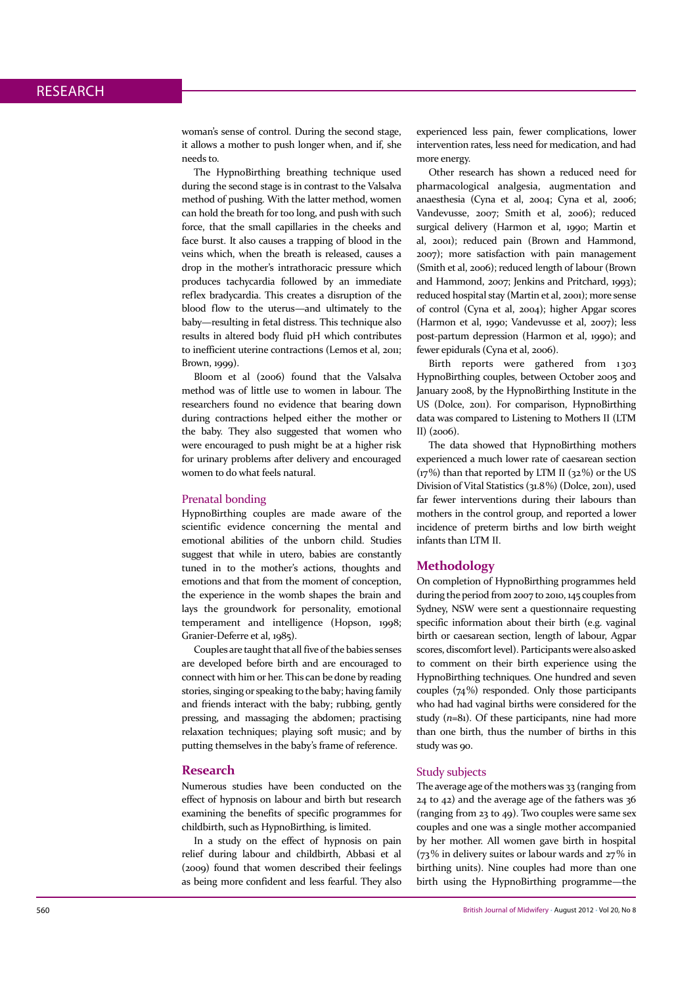woman's sense of control. During the second stage, it allows a mother to push longer when, and if, she needs to.

The HypnoBirthing breathing technique used during the second stage is in contrast to the Valsalva method of pushing. With the latter method, women can hold the breath for too long, and push with such force, that the small capillaries in the cheeks and face burst. It also causes a trapping of blood in the veins which, when the breath is released, causes a drop in the mother's intrathoracic pressure which produces tachycardia followed by an immediate reflex bradycardia. This creates a disruption of the blood flow to the uterus-and ultimately to the baby—resulting in fetal distress. This technique also results in altered body fluid pH which contributes to inefficient uterine contractions (Lemos et al, 2011; Brown, 1999).

Bloom et al (2006) found that the Valsalva method was of little use to women in labour. The researchers found no evidence that bearing down during contractions helped either the mother or the baby. They also suggested that women who were encouraged to push might be at a higher risk for urinary problems after delivery and encouraged women to do what feels natural.

#### Prenatal bonding

HypnoBirthing couples are made aware of the scientific evidence concerning the mental and emotional abilities of the unborn child. Studies suggest that while in utero, babies are constantly tuned in to the mother's actions, thoughts and emotions and that from the moment of conception, the experience in the womb shapes the brain and lays the groundwork for personality, emotional temperament and intelligence (Hopson, 1998; Granier-Deferre et al, 1985).

Couples are taught that all five of the babies senses are developed before birth and are encouraged to connect with him or her. This can be done by reading stories, singing or speaking to the baby; having family and friends interact with the baby; rubbing, gently pressing, and massaging the abdomen; practising relaxation techniques; playing soft music; and by putting themselves in the baby's frame of reference.

#### **Research**

Numerous studies have been conducted on the effect of hypnosis on labour and birth but research examining the benefits of specific programmes for childbirth, such as HypnoBirthing, is limited.

In a study on the effect of hypnosis on pain relief during labour and childbirth, Abbasi et al (2009) found that women described their feelings as being more confident and less fearful. They also experienced less pain, fewer complications, lower intervention rates, less need for medication, and had more energy.

Other research has shown a reduced need for pharmacological analgesia, augmentation and anaesthesia (Cyna et al, 2004; Cyna et al, 2006; Vandevusse, 2007; Smith et al, 2006); reduced surgical delivery (Harmon et al, 1990; Martin et al, 2001); reduced pain (Brown and Hammond, 2007); more satisfaction with pain management (Smith et al, 2006); reduced length of labour (Brown and Hammond, 2007; Jenkins and Pritchard, 1993); reduced hospital stay (Martin et al, 2001); more sense of control (Cyna et al, 2004); higher Apgar scores (Harmon et al, 1990; Vandevusse et al, 2007); less post-partum depression (Harmon et al, 1990); and fewer epidurals (Cyna et al, 2006).

Birth reports were gathered from 1303 HypnoBirthing couples, between October 2005 and January 2008, by the HypnoBirthing Institute in the US (Dolce, 2011). For comparison, HypnoBirthing data was compared to Listening to Mothers II (LTM  $\overline{1}$  $\overline{1}$  $\overline{2}$  $\overline{0}$  $\overline{6}$  $\overline{6}$  $\overline{6}$ 

The data showed that HypnoBirthing mothers experienced a much lower rate of caesarean section  $(\frac{17}{6})$  than that reported by LTM II  $(32\%)$  or the US Division of Vital Statistics (31.8%) (Dolce, 2011), used far fewer interventions during their labours than mothers in the control group, and reported a lower incidence of preterm births and low birth weight infants than LTM II.

#### **Methodology**

On completion of HypnoBirthing programmes held during the period from 2007 to 2010, 145 couples from Sydney, NSW were sent a questionnaire requesting specific information about their birth (e.g. vaginal birth or caesarean section, length of labour, Agpar scores, discomfort level). Participants were also asked to comment on their birth experience using the HypnoBirthing techniques. One hundred and seven couples  $(74%)$  responded. Only those participants who had had vaginal births were considered for the study  $(n=81)$ . Of these participants, nine had more than one birth, thus the number of births in this study was 90.

#### **Study subjects**

The average age of the mothers was 33 (ranging from 24 to 42) and the average age of the fathers was 36 (ranging from 23 to 49). Two couples were same sex couples and one was a single mother accompanied by her mother. All women gave birth in hospital  $(73\%$  in delivery suites or labour wards and  $27\%$  in birthing units). Nine couples had more than one birth using the HypnoBirthing programme-the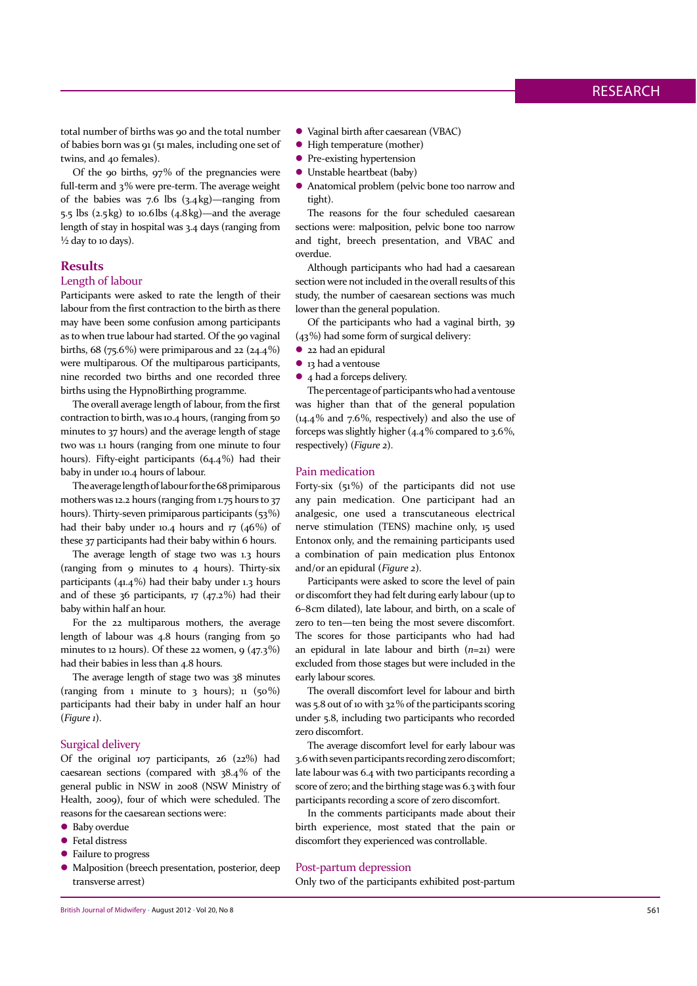total number of births was 90 and the total number of babies born was 91 (51 males, including one set of twins, and 40 females).

Of the 90 births, 97% of the pregnancies were full-term and 3% were pre-term. The average weight of the babies was  $7.6$  lbs  $(3.4 \text{ kg})$ —ranging from  $\overline{5.5}$  lbs  $(2.5 \text{ kg})$  to 10.6lbs  $(4.8 \text{ kg})$ —and the average length of stay in hospital was 3.4 days (ranging from  $\frac{1}{2}$  day to 10 days).

## **Results**

## Length of labour

Participants were asked to rate the length of their labour from the first contraction to the birth as there may have been some confusion among participants as to when true labour had started. Of the 90 vaginal births,  $68$  ( $75.6\%$ ) were primiparous and  $22$  ( $24.4\%$ ) were multiparous. Of the multiparous participants, nine recorded two births and one recorded three births using the HypnoBirthing programme.

The overall average length of labour, from the first contraction to birth, was 10.4 hours, (ranging from 50 minutes to 37 hours) and the average length of stage two was 1.1 hours (ranging from one minute to four hours). Fifty-eight participants (64.4%) had their baby in under 10.4 hours of labour.

The average length of labour for the 68 primiparous mothers was 12.2 hours (ranging from 1.75 hours to 37 hours). Thirty-seven primiparous participants (53%) had their baby under 10.4 hours and 17  $(46%)$  of these 37 participants had their baby within 6 hours.

The average length of stage two was 1.3 hours (ranging from  $\sigma$  minutes to  $\sigma$  hours). Thirty-six participants (41.4%) had their baby under 1.3 hours and of these 36 participants, 17 (47.2%) had their baby within half an hour.

For the 22 multiparous mothers, the average length of labour was 4.8 hours (ranging from 50 minutes to 12 hours). Of these 22 women,  $9(47.3\%)$ had their babies in less than 4.8 hours.

The average length of stage two was 38 minutes (ranging from 1 minute to 3 hours);  $\pi$  (50%) participants had their baby in under half an hour  $(Figure 1)$ .

#### Surgical delivery

Of the original 107 participants, 26 (22%) had caesarean sections (compared with 38.4% of the general public in NSW in 2008 (NSW Ministry of Health, 2009), four of which were scheduled. The reasons for the caesarean sections were:

- Baby overdue
- Fetal distress
- Failure to progress
- Malposition (breech presentation, posterior, deep transverse arrest)
- Vaginal birth after caesarean (VBAC)
- High temperature (mother)
- Pre-existing hypertension
- Unstable heartbeat (baby)
- Anatomical problem (pelvic bone too narrow and tight).

The reasons for the four scheduled caesarean sections were: malposition, pelvic bone too narrow and tight, breech presentation, and VBAC and overdue.

Although participants who had had a caesarean section were not included in the overall results of this study, the number of caesarean sections was much lower than the general population.

Of the participants who had a vaginal birth, 39 (43%) had some form of surgical delivery:

- 22 had an epidural
- 13 had a ventouse
- 4 had a forceps delivery.

The percentage of participants who had a ventouse was higher than that of the general population  $(14.4\%$  and 7.6%, respectively) and also the use of forceps was slightly higher  $(4.4\%$  compared to 3.6%, respectively) (Figure 2).

#### Pain medication

Forty-six  $(51\%)$  of the participants did not use any pain medication. One participant had an analgesic, one used a transcutaneous electrical nerve stimulation (TENS) machine only, 15 used Entonox only, and the remaining participants used a combination of pain medication plus Entonox and/or an epidural (Figure 2).

Participants were asked to score the level of pain or discomfort they had felt during early labour (up to 6-8cm dilated), late labour, and birth, on a scale of zero to ten-ten being the most severe discomfort. The scores for those participants who had had an epidural in late labour and birth  $(n=21)$  were excluded from those stages but were included in the early labour scores

The overall discomfort level for labour and birth was 5.8 out of 10 with 32% of the participants scoring under 5.8, including two participants who recorded zero discomfort.

The average discomfort level for early labour was 3.6 with seven participants recording zero discomfort; late labour was 6.4 with two participants recording a score of zero; and the birthing stage was 6.3 with four participants recording a score of zero discomfort.

In the comments participants made about their birth experience, most stated that the pain or discomfort they experienced was controllable.

#### Post-partum depression

Only two of the participants exhibited post-partum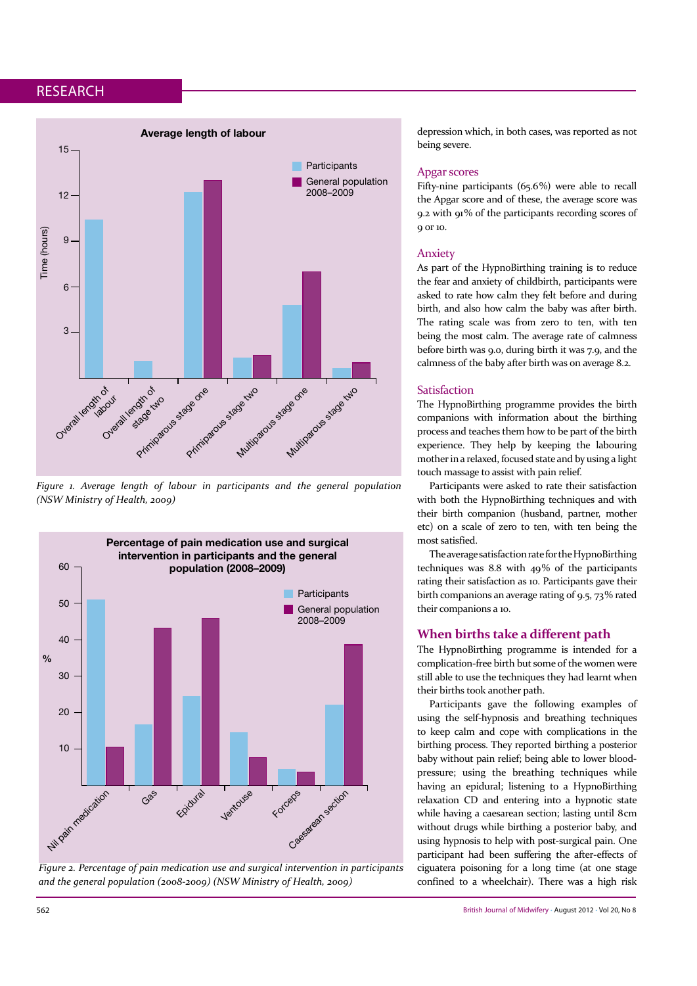

Figure 1. Average length of labour in participants and the general population *(NSW Ministry of Health, 2009)* 



*Figure 2. Percentage of pain medication use and surgical intervention in participants* and the general population (2008-2009) (NSW Ministry of Health, 2009)

depression which, in both cases, was reported as not being severe.

## Apgar scores

Fifty-nine participants (65.6%) were able to recall the Apgar score and of these, the average score was 9.2 with 91% of the participants recording scores of q or 10.

## Anxiety

As part of the HypnoBirthing training is to reduce the fear and anxiety of childbirth, participants were asked to rate how calm they felt before and during birth, and also how calm the baby was after birth. The rating scale was from zero to ten, with ten being the most calm. The average rate of calmness before birth was 9.0, during birth it was 7.9, and the calmness of the baby after birth was on average 8.2.

#### Satisfaction

The HypnoBirthing programme provides the birth companions with information about the birthing process and teaches them how to be part of the birth experience. They help by keeping the labouring mother in a relaxed, focused state and by using a light touch massage to assist with pain relief.

Participants were asked to rate their satisfaction with both the HypnoBirthing techniques and with their birth companion (husband, partner, mother etc) on a scale of zero to ten, with ten being the most satisfied.

The average satisfaction rate for the HypnoBirthing techniques was 8.8 with  $49\%$  of the participants rating their satisfaction as 10. Participants gave their birth companions an average rating of 9.5, 73% rated their companions a 10.

## When births take a different path

The HypnoBirthing programme is intended for a complication-free birth but some of the women were still able to use the techniques they had learnt when their births took another path.

Participants gave the following examples of using the self-hypnosis and breathing techniques to keep calm and cope with complications in the birthing process. They reported birthing a posterior baby without pain relief; being able to lower bloodpressure; using the breathing techniques while having an epidural; listening to a HypnoBirthing relaxation CD and entering into a hypnotic state while having a caesarean section; lasting until 8cm without drugs while birthing a posterior baby, and using hypnosis to help with post-surgical pain. One participant had been suffering the after-effects of ciguatera poisoning for a long time (at one stage confined to a wheelchair). There was a high risk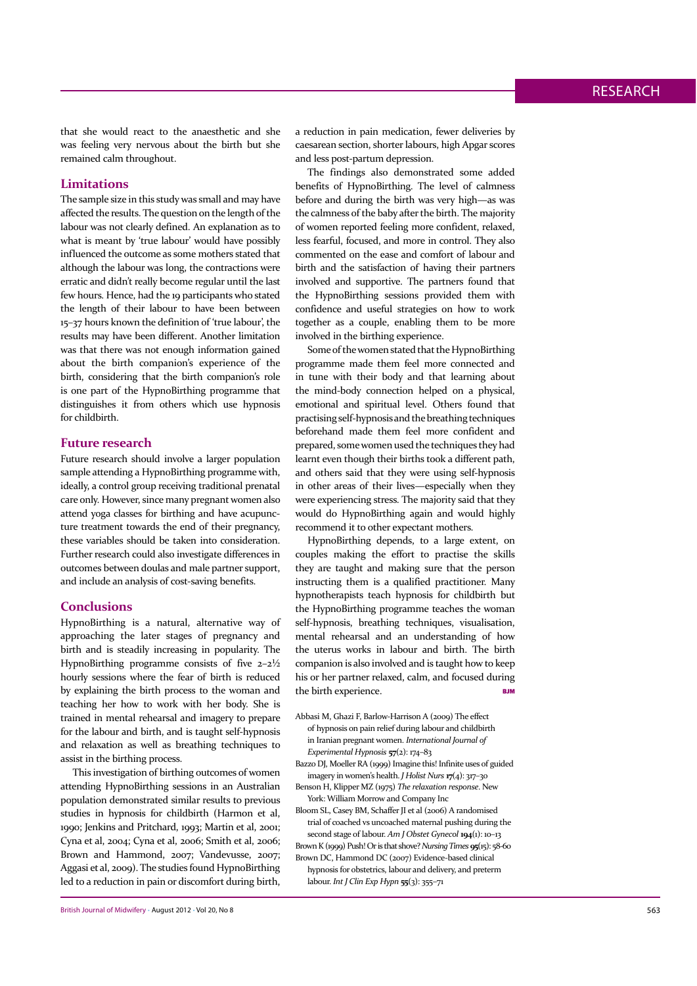that she would react to the anaesthetic and she was feeling very nervous about the birth but she remained calm throughout.

## **Limitations**

The sample size in this study was small and may have affected the results. The question on the length of the labour was not clearly defined. An explanation as to what is meant by 'true labour' would have possibly influenced the outcome as some mothers stated that although the labour was long, the contractions were erratic and didn't really become regular until the last few hours. Hence, had the 19 participants who stated the length of their labour to have been between 15-37 hours known the definition of 'true labour', the results may have been different. Another limitation was that there was not enough information gained about the birth companion's experience of the birth, considering that the birth companion's role is one part of the HypnoBirthing programme that distinguishes it from others which use hypnosis for childbirth.

## **Future research**

Future research should involve a larger population sample attending a HypnoBirthing programme with, ideally, a control group receiving traditional prenatal care only. However, since many pregnant women also attend yoga classes for birthing and have acupuncture treatment towards the end of their pregnancy, these variables should be taken into consideration. Further research could also investigate differences in outcomes between doulas and male partner support, and include an analysis of cost-saving benefits.

## **Conclusions**

HypnoBirthing is a natural, alternative way of approaching the later stages of pregnancy and birth and is steadily increasing in popularity. The HypnoBirthing programme consists of five  $2-2\frac{1}{2}$ hourly sessions where the fear of birth is reduced by explaining the birth process to the woman and teaching her how to work with her body. She is trained in mental rehearsal and imagery to prepare for the labour and birth, and is taught self-hypnosis and relaxation as well as breathing techniques to assist in the birthing process.

This investigation of birthing outcomes of women attending HypnoBirthing sessions in an Australian population demonstrated similar results to previous studies in hypnosis for childbirth (Harmon et al. 1990; Jenkins and Pritchard, 1993; Martin et al, 2001; Cyna et al, 2004; Cyna et al, 2006; Smith et al, 2006; Brown and Hammond, 2007; Vandevusse, 2007; Aggasi et al, 2009). The studies found HypnoBirthing led to a reduction in pain or discomfort during birth,

British Journal of Midwifery • August 2012 • Vol 20, No 8 563

a reduction in pain medication, fewer deliveries by caesarean section, shorter labours, high Apgar scores and less post-partum depression.

The findings also demonstrated some added benefits of HypnoBirthing. The level of calmness before and during the birth was very high—as was the calmness of the baby after the birth. The majority of women reported feeling more confident, relaxed, less fearful, focused, and more in control. They also commented on the ease and comfort of labour and birth and the satisfaction of having their partners involved and supportive. The partners found that the HypnoBirthing sessions provided them with confidence and useful strategies on how to work together as a couple, enabling them to be more involved in the birthing experience.

Some of the women stated that the HypnoBirthing programme made them feel more connected and in tune with their body and that learning about the mind-body connection helped on a physical, emotional and spiritual level. Others found that practising self-hypnosis and the breathing techniques beforehand made them feel more confident and prepared, some women used the techniques they had learnt even though their births took a different path, and others said that they were using self-hypnosis in other areas of their lives-especially when they were experiencing stress. The majority said that they would do HypnoBirthing again and would highly recommend it to other expectant mothers.

HypnoBirthing depends, to a large extent, on couples making the effort to practise the skills they are taught and making sure that the person instructing them is a qualified practitioner. Many hypnotherapists teach hypnosis for childbirth but the HypnoBirthing programme teaches the woman self-hypnosis, breathing techniques, visualisation, mental rehearsal and an understanding of how the uterus works in labour and birth. The birth companion is also involved and is taught how to keep his or her partner relaxed, calm, and focused during the birth experience.

- Abbasi M, Ghazi F, Barlow-Harrison A (2009) The effect of hypnosis on pain relief during labour and childbirth in Iranian pregnant women. *International Journal of Experimental Hypnosis* 57(2): 174-83
- Bazzo DJ, Moeller RA (1999) Imagine this! Infinite uses of guided imagery in women's health. *J Holist Nurs* 17(4): 317-30
- Benson H, Klipper MZ (1975) The relaxation response. New York: William Morrow and Company Inc

Bloom SL, Casey BM, Schaffer JI et al (2006) A randomised trial of coached vs uncoached maternal pushing during the second stage of labour. Am J Obstet Gynecol 194(1): 10-13 Brown K (1999) Push! Or is that shove? Nursing Times  $\mathbf{q}(\mathbf{x})$ : 58-60 Brown DC, Hammond DC (2007) Evidence-based clinical

hypnosis for obstetrics, labour and delivery, and preterm labour. Int J Clin Exp Hypn  $55(3)$ : 355-71